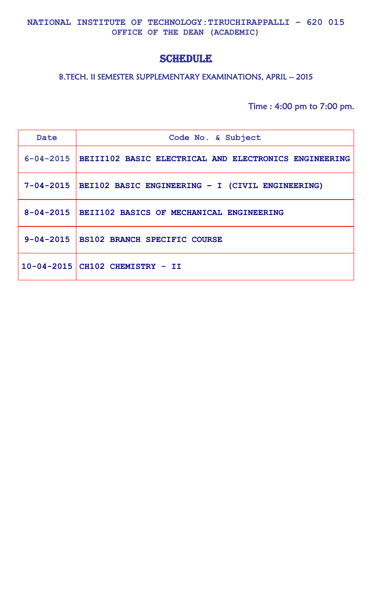**NATIONAL INSTITUTE OF TECHNOLOGY:TIRUCHIRAPPALLI – 620 015 OFFICE OF THE DEAN (ACADEMIC)**

# **SCHEDULE**

## B.TECH. II SEMESTER SUPPLEMENTARY EXAMINATIONS, APRIL -- 2015

Time : 4:00 pm to 7:00 pm.

| Date            | Code No. & Subject                                                |
|-----------------|-------------------------------------------------------------------|
|                 | 6-04-2015   BEIII102 BASIC ELECTRICAL AND ELECTRONICS ENGINEERING |
|                 | 7-04-2015   BEI102 BASIC ENGINEERING - I (CIVIL ENGINEERING)      |
| $8 - 04 - 2015$ | BEII102 BASICS OF MECHANICAL ENGINEERING                          |
|                 | 9-04-2015   BS102 BRANCH SPECIFIC COURSE                          |
|                 | $10-04-2015$ CH102 CHEMISTRY - II                                 |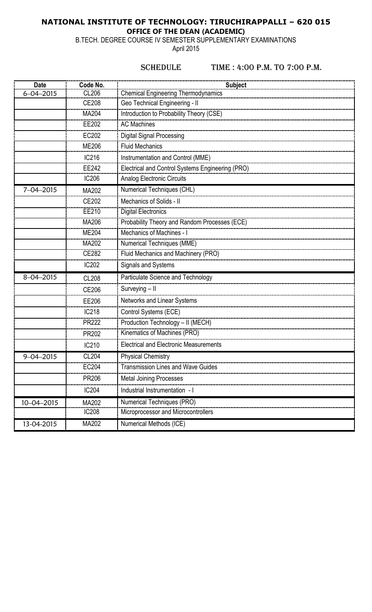## **NATIONAL INSTITUTE OF TECHNOLOGY: TIRUCHIRAPPALLI – 620 015 OFFICE OF THE DEAN (ACADEMIC)**

B.TECH. DEGREE COURSE IV SEMESTER SUPPLEMENTARY EXAMINATIONS

April 2015

#### SCHEDULE TIME : 4:00 P.M. TO 7:00 P.M.

| <b>Date</b>      | Code No.     | <b>Subject</b>                                   |
|------------------|--------------|--------------------------------------------------|
| $6 - 04 - 2015$  | <b>CL206</b> | <b>Chemical Engineering Thermodynamics</b>       |
|                  | <b>CE208</b> | Geo Technical Engineering - II                   |
|                  | MA204        | Introduction to Probability Theory (CSE)         |
|                  | EE202        | <b>AC Machines</b>                               |
|                  | EC202        | <b>Digital Signal Processing</b>                 |
|                  | <b>ME206</b> | <b>Fluid Mechanics</b>                           |
|                  | IC216        | Instrumentation and Control (MME)                |
|                  | EE242        | Electrical and Control Systems Engineering (PRO) |
|                  | <b>IC206</b> | <b>Analog Electronic Circuits</b>                |
| $7 - 04 - 2015$  | MA202        | Numerical Techniques (CHL)                       |
|                  | CE202        | Mechanics of Solids - II                         |
|                  | EE210        | <b>Digital Electronics</b>                       |
|                  | MA206        | Probability Theory and Random Processes (ECE)    |
|                  | <b>ME204</b> | Mechanics of Machines -                          |
|                  | MA202        | Numerical Techniques (MME)                       |
|                  | <b>CE282</b> | Fluid Mechanics and Machinery (PRO)              |
|                  | <b>IC202</b> | Signals and Systems                              |
| $8 - 04 - 2015$  | <b>CL208</b> | Particulate Science and Technology               |
|                  | <b>CE206</b> | Surveying - II                                   |
|                  | EE206        | Networks and Linear Systems                      |
|                  | <b>IC218</b> | Control Systems (ECE)                            |
|                  | <b>PR222</b> | Production Technology - II (MECH)                |
|                  | PR202        | Kinematics of Machines (PRO)                     |
|                  | IC210        | <b>Electrical and Electronic Measurements</b>    |
| $9 - 04 - 2015$  | <b>CL204</b> | <b>Physical Chemistry</b>                        |
|                  | EC204        | <b>Transmission Lines and Wave Guides</b>        |
|                  | <b>PR206</b> | <b>Metal Joining Processes</b>                   |
|                  | IC204        | Industrial Instrumentation - I                   |
| $10 - 04 - 2015$ | MA202        | Numerical Techniques (PRO)                       |
|                  | <b>IC208</b> | Microprocessor and Microcontrollers              |
| 13-04-2015       | MA202        | Numerical Methods (ICE)                          |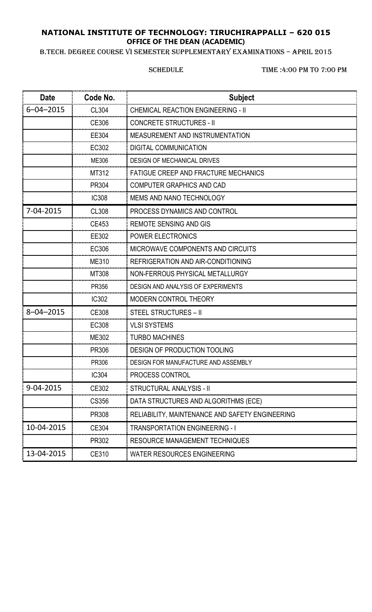## **NATIONAL INSTITUTE OF TECHNOLOGY: TIRUCHIRAPPALLI – 620 015 OFFICE OF THE DEAN (ACADEMIC)**

B.TECH. DEGREE COURSE VI SEMESTER SUPPLEMENTARY EXAMINATIONS – APRIL 2015

SCHEDULE TIME :4:00 PM TO 7:00 PM

| <b>Date</b>     | Code No.     | <b>Subject</b>                                  |
|-----------------|--------------|-------------------------------------------------|
| $6 - 04 - 2015$ | CL304        | <b>CHEMICAL REACTION ENGINEERING - II</b>       |
|                 | CE306        | <b>CONCRETE STRUCTURES - II</b>                 |
|                 | EE304        | MEASUREMENT AND INSTRUMENTATION                 |
|                 | EC302        | DIGITAL COMMUNICATION                           |
|                 | ME306        | <b>DESIGN OF MECHANICAL DRIVES</b>              |
|                 | MT312        | <b>FATIGUE CREEP AND FRACTURE MECHANICS</b>     |
|                 | PR304        | <b>COMPUTER GRAPHICS AND CAD</b>                |
|                 | <b>IC308</b> | <b>MEMS AND NANO TECHNOLOGY</b>                 |
| 7-04-2015       | <b>CL308</b> | PROCESS DYNAMICS AND CONTROL                    |
|                 | CE453        | <b>REMOTE SENSING AND GIS</b>                   |
|                 | EE302        | <b>POWER ELECTRONICS</b>                        |
|                 | EC306        | MICROWAVE COMPONENTS AND CIRCUITS               |
|                 | ME310        | REFRIGERATION AND AIR-CONDITIONING              |
|                 | MT308        | NON-FERROUS PHYSICAL METALLURGY                 |
|                 | PR356        | DESIGN AND ANALYSIS OF EXPERIMENTS              |
|                 | <b>IC302</b> | <b>MODERN CONTROL THEORY</b>                    |
| $8 - 04 - 2015$ | CE308        | <b>STEEL STRUCTURES - II</b>                    |
|                 | <b>EC308</b> | <b>VLSI SYSTEMS</b>                             |
|                 | ME302        | <b>TURBO MACHINES</b>                           |
|                 | PR306        | <b>DESIGN OF PRODUCTION TOOLING</b>             |
|                 | PR306        | DESIGN FOR MANUFACTURE AND ASSEMBLY             |
|                 | <b>IC304</b> | PROCESS CONTROL                                 |
| 9-04-2015       | CE302        | STRUCTURAL ANALYSIS - II                        |
|                 | CS356        | DATA STRUCTURES AND ALGORITHMS (ECE)            |
|                 | PR308        | RELIABILITY, MAINTENANCE AND SAFETY ENGINEERING |
| 10-04-2015      | CE304        | <b>TRANSPORTATION ENGINEERING - I</b>           |
|                 | PR302        | <b>RESOURCE MANAGEMENT TECHNIQUES</b>           |
| 13-04-2015      | CE310        | <b>WATER RESOURCES ENGINEERING</b>              |